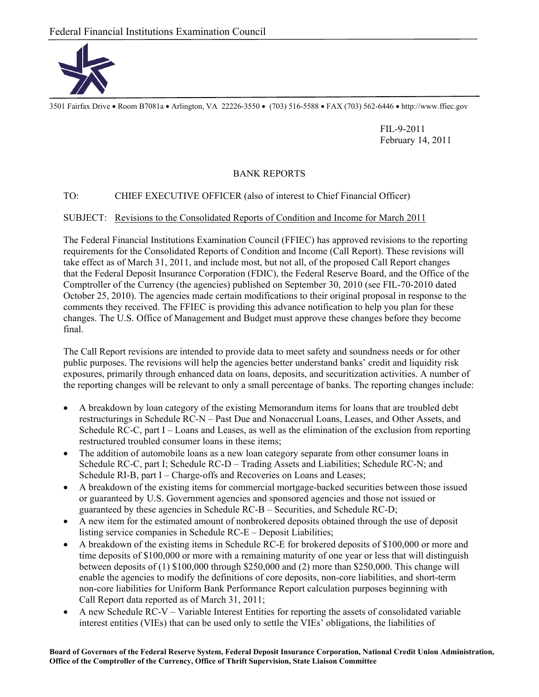

3501 Fairfax Drive Room B7081a Arlington, VA 22226-3550 (703) 516-5588 FAX (703) 562-6446 http://www.ffiec.gov

 FIL-9-2011 February 14, 2011

## BANK REPORTS

## TO: CHIEF EXECUTIVE OFFICER (also of interest to Chief Financial Officer)

## SUBJECT: Revisions to the Consolidated Reports of Condition and Income for March 2011

The Federal Financial Institutions Examination Council (FFIEC) has approved revisions to the reporting requirements for the Consolidated Reports of Condition and Income (Call Report). These revisions will take effect as of March 31, 2011, and include most, but not all, of the proposed Call Report changes that the Federal Deposit Insurance Corporation (FDIC), the Federal Reserve Board, and the Office of the Comptroller of the Currency (the agencies) published on September 30, 2010 (see FIL-70-2010 dated October 25, 2010). The agencies made certain modifications to their original proposal in response to the comments they received. The FFIEC is providing this advance notification to help you plan for these changes. The U.S. Office of Management and Budget must approve these changes before they become final.

The Call Report revisions are intended to provide data to meet safety and soundness needs or for other public purposes. The revisions will help the agencies better understand banks' credit and liquidity risk exposures, primarily through enhanced data on loans, deposits, and securitization activities. A number of the reporting changes will be relevant to only a small percentage of banks. The reporting changes include:

- A breakdown by loan category of the existing Memorandum items for loans that are troubled debt restructurings in Schedule RC-N – Past Due and Nonaccrual Loans, Leases, and Other Assets, and Schedule RC-C, part I – Loans and Leases, as well as the elimination of the exclusion from reporting restructured troubled consumer loans in these items;
- The addition of automobile loans as a new loan category separate from other consumer loans in Schedule RC-C, part I; Schedule RC-D – Trading Assets and Liabilities; Schedule RC-N; and Schedule RI-B, part I – Charge-offs and Recoveries on Loans and Leases;
- A breakdown of the existing items for commercial mortgage-backed securities between those issued or guaranteed by U.S. Government agencies and sponsored agencies and those not issued or guaranteed by these agencies in Schedule RC-B – Securities, and Schedule RC-D;
- A new item for the estimated amount of nonbrokered deposits obtained through the use of deposit listing service companies in Schedule RC-E – Deposit Liabilities;
- A breakdown of the existing items in Schedule RC-E for brokered deposits of \$100,000 or more and time deposits of \$100,000 or more with a remaining maturity of one year or less that will distinguish between deposits of (1) \$100,000 through \$250,000 and (2) more than \$250,000. This change will enable the agencies to modify the definitions of core deposits, non-core liabilities, and short-term non-core liabilities for Uniform Bank Performance Report calculation purposes beginning with Call Report data reported as of March 31, 2011;
- A new Schedule RC-V Variable Interest Entities for reporting the assets of consolidated variable interest entities (VIEs) that can be used only to settle the VIEs' obligations, the liabilities of